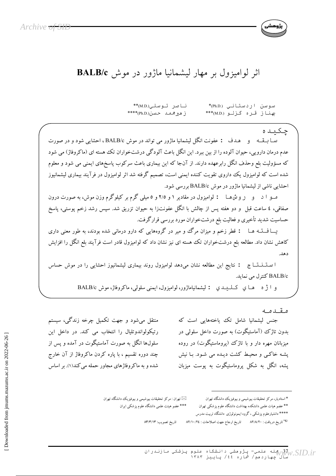

## اثر لوامیزول بر مهار لیشمانیا ماژور در موش BALB/c

ناصر توسلی(M.D.)\*\* سوسن اردستانی (Ph.D)\* سمناز قره گزلو (M.D.\*\*\* ز هير محمد حسن(Ph.D.)\*\*\*\*

چکىدە سـا بــقــه و هـدف : عفونت انگل ليشمانيا ماژور مي تواند در موش BALB/c ، احشايي شود و در صورت عدم درمان دارویی، حیوان آلوده را از بین ببرد. این انگل باعث آلودگی درشتخواران تک هسته ای (ماکروفاژ) می شود که مسؤولیت بلع وحذف انگل رابرعهده دارند. از آنجا که این بیماری باعث سرکوب پاسخهای ایمنی می شود و معلوم شده است که لوامیزول یک داروی تقویت کننده ایمنی است، تصمیم گرفته شد اثر لوامیزول در فرآیند بیماری لیشمانیوز احشایی ناشی از لیشمانیا ماژور در موش BALB/c بررسی شود.

مــو ا د و روش هــا : لواميزول در مقادير ۱ و ۲/۵ و ٥ ميلي گرم بر كيلوگرم وزن موش، به صورت درون صفاقی، ٤ ساعت قبل و دو هفته پس از چالش با انگل عفونتزا به حیوان تزریق شد. سپس رشد زخم پوستی، پاسخ حساسیت شدید تأخیری و فعالیت بلع درشتخواران مورد بررسی قرارگرفت.

یـــافـــتــه هــا : قطر زخم و میزان مرگ و میر در گروههایی که دارو درمانی شده بودند، به طور معنی داری کاهش نشان داد. مطالعه بلع درشتخواران تک هسته ای نیز نشان داد که لوامیزول قادر است فرآیند بلع انگل را افزایش دهد

ا ستـنــتــاج : نتايج اين مطالعه نشان مىدهد لواميزول روند بيمارى ليشمانيوز احشايى را در موش حساس BALB/c كنترل مى نمايد.

و آ ژه های کیلیدی : لیشمانیاماژور، لوامیزول، ایمنی سلولی، ماکروفاژ، موش BALB/c

مقدمه جنس لیشمانیا شامل تک یاختههایی است که ىدون تاژك (آماستىگوت) پە صورت داخل سلولى در میزبانان مهره دار و با تاژک (پروماستیگوت) در روده یشه خاکبی و محیط کشت دیده می شود. با نیش یشه، انگل به شکل پروماستیگوت به یوست میزبان

منتقل میشود و جهت تکمیل چرخه زندگی، سیستم رتيكولواندوتليال را انتخاب مي كند. در داخل اين سلولها انگل به صورت آماستیگوت در آمده و پس از چند دوره تقسیم ، با پاره کردن ماکروفاژ از آن خارج شده و به ماکر وفاژهای مجاور حمله می کند(۱). بر اساس

> تهران : مرکز تحقیقات بیوشیمی و بیوفیزیک دانشگاه تهران $\boxtimes$ \*\*\* عضو هیئت علمی دانشگاه علوم یز شکی ایران

\* استادیار، مرکز تحقیقات بیوشیمی و بیوفیزیک دانشگاه تهران \*\* عضو هيات علمي دانشكده بهداشت دانشگاه علوم پزشكي تهران \*\*\*\* دانشیارعلوم پزشکی ، گروه ایمونولوژی دانشگاه تربیت مدرس

<sup>3</sup> تاريخ دريافت : ٨٢/٨/٢٠ تاريخ ارجاع جهت اصلاحات : ٨٢/١٠/٢٤

تاريخ تصويب: ٨٣/٣/١٣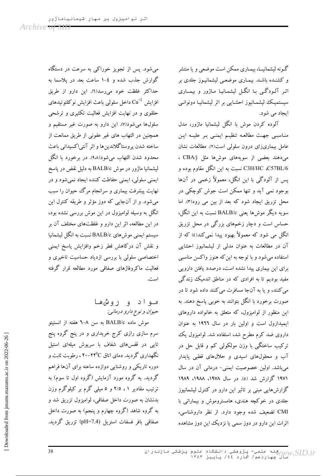گـونه لیشمانیــا، بیمـاری ممکن است موضعی و یا منتشر و کشنـده باشـد. بیمـاری موضعـی لیشمانیـوز جلدی بر اثر آلـودگـی بـا انگـل لیشمـانیـا مـاژور و بیمــاری سیستمیک لیشمانیوز احشایی بر اثر لیشمانیا دونوانبی ايجاد مي شود.

آلوده کردن موش با انگل لیشمانیا ماژور، مدل مناسبی جهت مطالعه تنظیم ایمنبی بر علیـه این عامل بیماریزای درون سلولی است(۲). مطالعات نشان می دهند بعضی از سویههای موشها مثل CBA/j ، C3H/HC ،C57BL/6 نسبت به این انگل مقاوم بوده و پس از آلودگی با این انگل، معمولاً زخمی در آنها بوجود نمي آيد و تنها ممكن است جوش كوچكي در محل تزریق ایجاد شود که بعد از بین می رود(۳). اما سويه ديگر موشها يعني BALB/c نسبت به اين انگل، حساس است و دچار زخمهای بزرگی در محل تزریق انگل می شود که معمولاً بهبود پیدا نمیکند(٤) که از آن در مطالعات به عنوان مدلی از لیشمانیوز احشایی استفاده می شود و با توجه به این که هنوز واکسن مناسبی برای این بیماری پیدا نشده است، درصدد یافتن دارویی مفید بودیم تا به افرادی که در مناطق اندمیک زندگی می کنند، و یا به آنجا مسافرت می کنند داده شود تا در صورت برخورد با انگل بتوانند به خوبی پاسخ دهند. به این منظور از لوامیزول، که متعلق به خانواده داروهای ایمیدازول است و اولین بار در سال ۱۹۲۲ به عنوان داروی ضد کرم مطرح شد، استفاده شد. لوامیزول یک ترکیب ساختگی با وزن مولکولی کم و قابل حل در آب و محلولهای اسیدی و حلالهای قطبی پایدار می باشد. اولین خصوصیت ایمنی- درمانی آن در سال ۱۹۷۱ گزارش شد (٥). در سال ۱۹۷۸، ۱۹۸۸، ۱۹۸۹ گزارشهایی مبنی بر تاثیر این دارو در کنترل لیشمانیوز جلدی در خوکچه هندی، هامستروموش و بیمارانی با CMI تضعیف شده وجود دارد. از نظر داروشناسی، اثرات این دارو در دوز سمی یا نزدیک این دوز مشاهده

می شود. پس از تجویز خوراکمی به سرعت در دستگاه گوارش جذب شده و ٤-١ ساعت بعد در پلاسما به حداكثر غلظت خود مى رسد(٦). اين دارو از طريق افزايش  $\mathrm{Ca}^{+2}$  داخل سلولي باعث افزايش نو كلئو تيدهاي حلقوی و در نهایت افزایش فعالیت تکثیری و ترشحی سلولها می شود(۷). این دارو به صورت غیر مستقیم و همچنین در التهاب های غیر عفونی از طریق ممانعت از ساخته شدن پروستاگلاندین ها و اثر آنتی اکسیدانی باعث محدود شدن التهاب میشود(۹،۸). در برخورد با انگا لیشمانیا ماژور در موش BALB/c به دلیل نقض در پاسخ ایمنی سلولی، ایمنی حفاظت کننده ایجاد نمیشود و در نهایت پیشرفت بیماری و سرانجام مرگ حیوان را سبب می شود. و از آنجایی که دوز مؤثر و طریقه کنترل این انگل به وسیله لوامیزول در این موش بررسی نشده بود، در این مطالعه، اثر این دارو و غلظتهای مختلف آن بر سیستم ایمنی موش های BALB/c نسبت به انگل لیشمانیا و نقش آن دركاهش قطر زخم وافزايش پاسخ ايمنى اختصاصی سلولی با بررسی ازدیاد حساسیت تاخیری و فعالیت ماکروفاژهای صفاقی مورد مطالعه قرار گرفته است.

## مـو ا د و رو ش هـا حيوان و نوع دارو درماني:

موش ماده BALB/c به سن ٨–٦ هفته از انستيتو سرم سازی رازی کرج خریداری و در پنج گروه پنج تایی در قفسهای شفاف با سرپوش میلهای استیل نگهداری گردید. دمای اتاق ۲۲<sup>0</sup>C-۲۰ ، رطوبت ثابت و دوره تاریکی و روشنایی دوازده ساعته برای آنها فراهم گردید. یه گروه مورد آزمایش (گروه اول تا سوم) به ترتیب مقادیر ۰۱ /۲ و ٥ میلی گرم بر کیلوگرم وزن بدنشان به صورت داخل صفاقی، لوامیزول تزریق شد و به گروه شاهد (گروه چهارم و پنجم) به صورت داخل صفاقی بافر فسفات استریل (pH=7.4) تزریق گردید.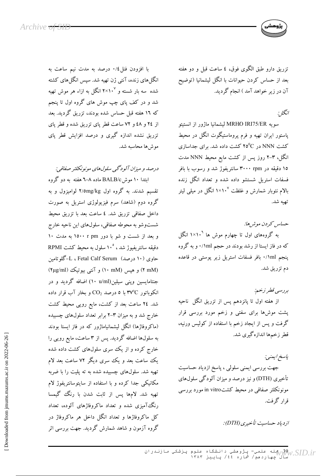تزریق دارو طبق الگوی فوق، ٤ ساعت قبل و دو هفته بعد از حساس کردن حیوانات با انگل لیشمانیا (توضیح آن در زیر خواهد آمد ) انجام گردید.

## انگل :

سويه MRHO IRI75/ER ليشمانيا ماژور از انستيتو یاستور ایران تهیه و فرم بروماستیگوت انگل در محیط کشت NNN در ٢٥<sup>0</sup>C کشت داده شد. برای جداسازی انگل، ۳-۲ روز پس از کشت مایع محیط NNN مدت ۱۵ دقیقه در ۳۰۰۰ rpm سانتریفوژ شد و رسوب با بافر فسفات استریل شستشو داده شده و تعداد انگل زنده بالام نئوبار شمارش و غلظت ۱۰<sup>۷</sup> انگل در میل<sub>ی</sub> لیتر تهيه شد.

حساس كردن موشر ها:

به گروههای اول تا چهارم موش ها ۱×۱<sup>۰</sup> انگل که در فاز ایستا از رشد بودند در حجم ۱ml/۰ و به گروه پنجم ۱ml/۰ بافر فسفات استریل زیر پوستی در قاعده دم تزريق شد.

بررسي قطر زخم:

از هفته اول تا پانزدهم پس از تزریق انگل ناحیه پشت موشها برای سفتی و زخم مورد بررسی قرار گرفت و پس از ایجاد زخم با استفاده از کولیس ورنیه، قطر زخمها اندازهگیری شد.

پاسخ ايمنين جهت بررسی ایمنی سلولی ، پاسخ ازدیاد حساسیت تأخیری (DTH) و نیز درصد و میزان آلودگی سلولهای مونونکلئر صفاقی در محیط کشتin vitro مورد بررسی قرار گرفت.

ازدياد حساسيت تأخيري (DTH):

با افزودن فنل٤/٠ درصد به مدت نيم ساعت به انگل(های زنده، آنتی ژن تهیه شد. سپس انگل(های کشته شده سه بار شسته و ۲×۱×۲ انگل به ازاء هر موش تهیه شد و در کف پای چپ موش های گروه اول تا پنجم که ۱۲ هفته قبل حساس شده بودند، تزریق گردید. بعد از ٢٤ و ٤٨ و ٧٢ ساعت قطر پاى تزريق شده و قطر پاى تزریق نشده اندازه گیری و درصد افزایش قطر پای مو ش ها محاسبه شد.

درصد و میزان آلودگی سلولهای مونونکلئر صفاقی:

ابتدا ۱۰ موشBALB/c ماده ۸–۲ هفته به دو گروه تقسیم شدند. به گروه اول ۲/omg/kg لوامیزول و به گروه دوم (شاهد) سرم فیزیولوژی استریل به صورت داخل صفاقی تزریق شد. ٤ ساعت بعد با تزریق محیط شستوشو به محوطه صفاقی، سلولهای این ناحیه خارج و بعد از شست و شو با دور ۱۵۰۰ r pm به مدت ۱۰ دقیقه سانتریفیوژ شد ، °۱۰ سلول به محیط کشت RPMI حاوی (١٠ درصد) Fetal Calf Serum، ، L-گلوتامين (۲ mM) و هپس (۱۰ mM) و آنتی بیوتیک (۲μg/ml) جنتامایسین وینی سیلین(۱۰ u/ml) اضافه گردید و در انکوباتور ٣٧°C با ٥ درصد  $\rm CO_2$  و بخار آب قرار داده شد. ٢٤ ساعت بعد از كشت، مايع رويي محيط كشت خارج شد و به میزان ۳-۲ برابر تعداد سلولهای چسبیده (ماکروفاژها) انگل لیشمانیاماژور که در فاز ایستا بودند به سلولها اضافه گردید. پس از ۳ ساعت، مایع رویی را خارج کرده و از یک سری سلولهای کشت داده شده یک ساعت بعد و یک سری دیگر ۷۲ ساعت بعد لام .<br>تهیه شد. سلولهای چسبیده شده به ته پلیت را با ضربه مکانیکی جدا کرده و با استفاده از سایتوسانتریفوژ لام تهیه شد. لامها پس از ثابت شدن با رنگ گیمسا رنگتآمیزی شده و تعداد ماکروفاژهای آلوده، تعداد کل ماکروفاژها و تعداد انگل داخل هر ماکروفاژ در گروه آزمون و شاهد شمارش گردید. جهت بررسی اثر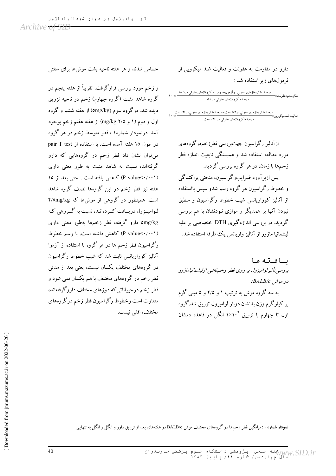حساس شدند و هر هفته ناحیه پشت موش۵ا برای سفتی

و زخم مورد بررسی قرارگرفت. تقریباً از هفته پنجم در گروه شاهد مثبت (گروه چهارم) زخم در ناحیه تزریق دیده شد. درگروه سوم (omg/kg) از هفته ششم و گروه اول و دوم (۱ و ۳/۵ mg/kg) از هفته هفتم زخم بوجود آمد. درنمودار شماره۱ ، قطر متوسط زخم در هر گروه در طول ١٥ هفته آمده است. با استفاده از pair T test می توان نشان داد قطر زخم در گروههایی که دارو گرفتهاند، نسبت به شاهد مثبت به طور معنی داری (P value<・/・・۱) كاهش يافته است . حتى بعد از ١٥ هفته نیز قطر زخم در این گروهها نصف گروه شاهد است. همینطور در گروهی از موشها که ۲/omg/kg لـواميــزول دريــافت كــردهانـد، نسبت به گــروهي كـه omg/kg دارو گرفته، قطر زخمها بهطور معنی داری (P value< · / ۰۰۱) كاهش داشته است. با رسم خطوط رگراسیون قطر زخم ها در هر گروه با استفاده از آزموا آنالیز کوواریانس ثابت شد که شیب خطوط رگراسیون در گروههای مختلف یکسان نیست، یعنی بعد از مدتی قطر زخم در گروههای مختلف با هم یکسان نمی شود و قطر زخم درحبواناتی که دوزهای مختلف داروگرفتهاند، متفاوت است وخطوط رگراسیون قطر زخم درگروههای مختلف، افقی نیست. دارو در مقاومت به عفونت و فعالیت ضد میکروبی از فرمول های زیر استفاده شد :

درصد ماکروفاژهای عفونی درآزمون-درصد ماکروفاژهای عفونی درشاهد<br>۱۰۰۰ - مقاه مت،مهضم نیت درصدماکروفاژهای عفونی در شاهد

درصدماکر وفاژهای عفونی در ٢٤ ساعت

ازآنالیز رگراسیون جهتبررسی قطرزخمدرگروههای مورد مطالعه استفاده شد و همبستگی تابعیت اندازه قطر زخمها با زمان، در هر گروه بررسی گردید. یس از ہر آور د ضرایب رگراسیون، منحنی پراکندگی و خطوط رگراسیون هر گروه رسم شدو سپس بااستفاده از آنالیز کوواریانس شیب خطوط رگراسیون و منطبق .<br>نبودن آنها بر همدیگر و موازی نبودنشان با هم بررسی گردید. در بررسی اندازهگیری DTH اختصاصی بر علیه لیشمانیا ماژور از آنالیز واریانس یک طرفه استفاده شد.

ىافته ها بررسی تأثیرلوامیزول بر روی قطر زخم ناشی ازلیشمانیاماژور در موش BALB/c: به سه گروه موش به ترتیب ۱ و ۲/۵ و ۵ میلی گرم

بر کیلوگرم وزن بدنشان دوبار لوامیزول تزریق شد.گروه اول تا چهارم با تزریق ۱×۱۰<sup>۱</sup> انگل در قاعده دمشان

نم**ودار شماره ۱ :** میانگین قطر زحمها در گروههای مختلف موش BALB/c در هفتههای بعد از تزریق دارو و انگل و انگل به تنهایی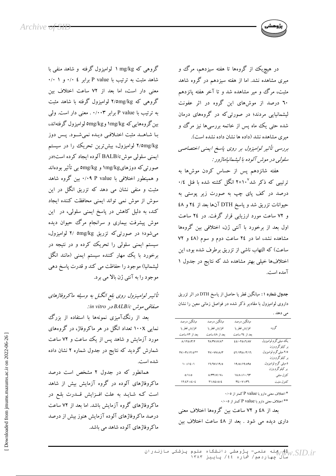

در هیچ،یک از گروهها تا هفته سیزدهم، مرگ و میری مشاهده نشد. اما از هفته سیزدهم در گروه شاهد مثبت، مرگ و میر مشاهده شد و تا آخر هفته پانزدهم ۲۰ درصد از موشهای این گروه در اثر عفونت لیشمانیایی مردند؛ در صورتی که در گروههای درمان شده حتی یک ماه پس از خاتمه بررسیها نیز مرگ و میری مشاهده نشد (داده ها نشان داده نشده است). بررسی تأثیر لوامیزول بر روی پاسخ ایمنی اختصاصی سلولي در موش آلوده با ليشمانياماژور :

هفته شانزدهم پس از حساس کردن موشها به ترتیبی که ذکر شد°۲×۱۰ انگل کشته شده با فنل ۰/٤ درصد در کف پای چپ به صورت زیر پوستی به حیوانات تزریق شد و پاسخ DTH آنها بعد از ٢٤ و ٤٨ و ۷۲ ساعت مورد ارزیابی قرار گرفت. در ۲٤ ساعت اول بعد از برخورد با آنتی ژن، اختلافی بین گروهها مشاهده نشد، اما در ٢٤ ساعت دوم و سوم (٤٨ و ٧٢ ساعت) كه التهاب ناشي از تزريق برطرف شده بود، اين اختلافها خیلی بهتر مشاهده شد که نتایج در جدول ۱ آمده است.

جدول شماره ۱: میانگین قطر پا حاصل از پاسخ DTH در اثر تزریق داروی لوامیزول با مقادیر ذکر شده در فواصل زمانی معین را نشان می دهد .

| مبانگمن درصد             | مبانگین درصد                                    | مىانگىن درصد                |                       |
|--------------------------|-------------------------------------------------|-----------------------------|-----------------------|
| افزايش قطر يا            | افزايش قطر يا                                   | افزايش قطر يا               | گروه                  |
| ىعد از ۷۲ ساعت           | بعد از ٤٨ ساعت                                  | ىعد از ٢٤ ساعت              |                       |
| $A/1Y$ o $\pm$ r/Y       | YA/YV±V/A*                                      | $E0/\cdot Y0 \pm V/AV$      | یک میلیگرم لوامیزول   |
|                          |                                                 |                             | بر کیلوگرم وزن        |
| <b>YV/ . Y ± 1 Y/0**</b> | YV/· VV±A/٣                                     | $27/170 \pm 7/17$           | ۲/۵ میلی گرم لوامیزول |
|                          |                                                 |                             | بر کیلوگرم وزن        |
| ۱۰±۱٤۰۱                  | $11/1V \pm 19/0$                                | 19/0±19/090                 | ٥ میلي گرم لوامیزول   |
|                          |                                                 |                             | بر کیلوگرم وزن        |
| $0/\lambda + 0$          | $\Lambda$ / $\Upsilon\Upsilon \pm V / V \times$ | $1\lambda/\lambda \pm 1.71$ | كترل منفي             |
| $11/21 \pm 2.2$          | <b>Y 1/A £ ± 0/2</b>                            | $Y\Sigma/\cdot V \pm Y$     | كنترل مثبت            |

\* اختلاف معنى دارو با P value كمتر از ٠/٠٥

\*\* اختلاف معنى دارو با P value كمتر از ٠/٠٠٥

بعد از ٤٨ و ٧٢ ساعت بين گروهها اختلاف معنى داری دیده می شود . بعد از ٤٨ ساعت اختلاف بين

گروهی که mg/kg ۱ لوامیزول گرفته و شاهد منفی با شاهد مثبت به ترتیب با P value برابر ٤ ٠/٠ و ٠/٠ معنى دار است، اما بعد از ٧٢ ساعت اختلاف بين گروهی که ۲/omg/kg لوامیزول گرفته با شاهد مثبت به ترتیب با P value برابر ۰/۰۰۳. معنی دار است. ولی بین گروههایی که ۱mg/kg و omg/kgهامیزول گرفتهاند، با شاهـد مثبت اختـلافـی دیـده نمیشـود. پـس دوز ۲/٥mg/kg لوامیزول، بیشترین تحریک را در سیستم ایمنی سلولی موشBALB/c آلوده ایجاد کرده است؛در صورتی که دوزهایmg/kg و omg/kg بی تأثیر بودهاند و همینطور اختلافی با ۰/۰۹ P value . بین گروه شاهد مثبت و منفی نشان می دهد که تزریق انگل در این سوش از موش نمی تواند ایمنی محافظت کننده ایجاد کند، به دلیل کاهش در پاسخ ایمنی سلولی، در این موش پیشرفت بیماری و سرانجام مرگ حیوان دیده می شود؛ در صورتی که تزریق ۲/ omg/kg لوامیزول، سیستم ایمنی سلولی را تحریک کرده و در نتیجه در برخورد با یک مهار کننده سیستم ایمنی (مانند انگل لیشمانیا) موجود را حفاظت می کند و قدرت پاسخ دهی موجود را به آنتي ژن بالا مي برد.

تأثیر لوامیزول روی بلع انگل به وسیله ماکروفاژهای صفاقى موش BALB/c در in vitro:

بعد از رنگ آمیزی نمونهها با استفاده از بزرگ نمایی ۱۰۰X تعداد انگل در هر ماکروفاژ، در گروههای مورد آزمایش و شاهد پس از یک ساعت و ۷۲ ساعت شمارش گردید که نتایج در جدول شماره ۲ نشان داده شده است.

همانطور که در جدول ۲ مشخص است درصد ماکروفاژهای آلوده در گروه آزمایش بیش از شاهد است که شاید به علت افـزایش قــدرت بلـع در ماکروفاژهای گروه آزمایش باشد. اما بعد از ۷۲ ساعت درصد ماکروفاژهای آلوده آزمایش هنوز بیش از درصد ماکروفاژهای آلوده شاهد می باشد.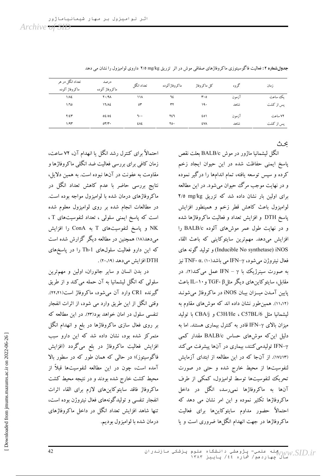| تعداد انگل در هر<br>ماكروفاژ آلوده | درصد<br>ماكروفاژ آلوده | تعداد انگل | ماكروفاژآلوده | كل ماكروفاژ | گر وه | زمان      |
|------------------------------------|------------------------|------------|---------------|-------------|-------|-----------|
| ١/٨٤                               | $Y \cdot / 9$          | ۱۱۸        | ٦٤            | $r \cdot o$ | آزمون | ىك ساعت   |
| 1/10                               | 17/12                  | ٥٣         | ٣٢            | ۱۹۰         | شاهد  | پس از کشت |
| $Y/\Sigma Y$                       | 02/02                  | ٦٠٠        | ٢٤٦           | ٤٥١         | آزمون | ۷۲ ساعت   |
| 1/91                               | OY/Y                   | ٤٨٤        | ۲٥٠           | ٤V٨         | شاهد  | پس از کشت |

جدول شماره ۲: فعالیت فاگوسیتوزی ماکروفاژهای صفاقی موش در اثر تزریق ۲/٥ mg/kg داروی لوامیزول را نشان می دهد

عحث

انگل لشمانیا ماژور در موش BALB/c بعلت نقص پاسخ ایمنی حفاظت شده در این حیوان ایجاد زخم کرده و سپس توسعه یافته، تمام اندامها را درگیر نموده و در نهایت موجب مرگ حیوان می شود. در این مطالعه برای اولین بار نشان داده شد که تزریق mg/kg ۲/۵ لوامیزول باعث كاهش قطر زخم و همینطور افزایش پاسخ DTH و افزایش تعداد و فعالیت ماکروفاژها شده و در نهایت طول عمر موشهای آلوده BALB/c را افزایش میدهد. مهمترین سایتوکاینی که باعث القاء Inducible No synthetase) iNOS) و تولید گونه های فعال نيتروژن ميشود، IFN-γ مي باشد(١٠) .TNF- α به صورت سینرژیک با IFN – γ عمل می کند(۲). در مقابل، سایتوکاینهای دیگر مثلβ-TGF و IL-۱۰ باعث پایین آمدن میـزان بیـان iNOS در ماکروفاژ می شونـد (۱۱،۱۲). همین طور نشان داده اند که موشهای مقاوم به ليشمانيا مثل C3H/He ، C57BL/6 و CBA/j با توليد میزان بالای IFN-γ قادر به کنترل بیماری هستند. اما به دلیل این که موشهای حساس BALB/c مقدار کمی IFN-γ تولیدمی کنند، بیماری در آنها پیشرفت می کند (١٢تا١٧). از آنجا كه در اين مطالعه از ابتداى آزمايش لنفوسیتها از محیط خارج شده و حتی در صورت تحریک لنفوسیتها توسط لوامیزول، کمکی از طرف آنها به ماکروفاژها نمی رسد، انگل در داخل ماکروفاژها تکثیر نموده و این امر نشان می دهد که احتمالاً حضور مداوم سايتوكاينها براي فعاليت ماکروفاژها در جهت انهدام انگلها ضروری است و یا

احتمالاً برای کنترل رشد انگل یا انهدام آن، ۷۲ ساعت، زمان کافی برای بررسی فعالیت ضد انگلی ماکروفاژها و مقاومت به عفونت در آنها نبوده است. به همین دلایل، نتایج بررسی حاضر با عدم کاهش تعداد انگل در ماکروفاژهای درمان شده با لوامیزول مواجه بوده است. در مطالعات انجام شده بر روی لوامیزول معلوم شده است که پاسخ ایمنی سلولی ، تعداد لنفوسیتهای T ، NK و پاسخ لنفوسیتهای T به ConA را افزایش میدهد(۱۸) همچنین در مطالعه دیگر گزارش شده است که این دارو فعالیت سلولهای Th-1 را در پاسخهای DTH افزایش می دهد (۲۰،۱۹) .

در بدن انسان و سایر جانوران، اولین و مهمترین سلولی که انگل لیشمانیا به آن حمله میکند و از طریق گیرنده CR1 وارد آن میشود، ماکروفاژ است(۲۲،۲۱). وقتی انگل از این طریق وارد می شود، از اثرات انفجار تنفسی سلول در امان خواهد بود(۲۳). در این مطالعه که بر روی فعال سازی ماکروفاژها در بلع و انهدام انگل متمرکز شده بود، نشان داده شد که این دارو سبب افزایش فعالیت ماکروفاژ در بلع میگردد (افزایش فاگوسیتوز)؛ در حالبی که همان طور که در سطور بالا آمده است، چون در این مطالعه لنفوسیتها قبلاً از محیط کشت خارج شده بودند و در نتیجه محیط کشت ماكروفاژ فاقد سايتوكاين هاى لازم براى القاء اثرات انفجار تنفسی و تولیدگونههای فعال نیتروژن بوده است، تنها شاهد افزایش تعداد انگل در داخل ماکروفاژهای درمان شده با لواميزول بوديم.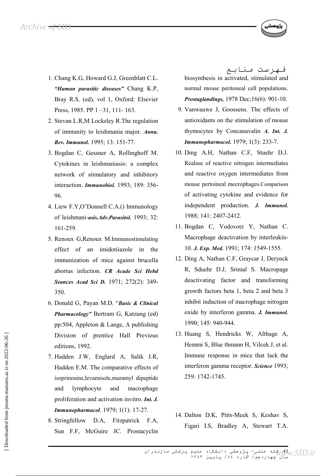- 1. Chang K.G. Howard G.J. Greenblatt C.L. "Human parasitic diseases" Chang K.P. Bray R.S. (ed), vol 1, Oxford: Elsevier Press, 1985. PP  $1 - 31$ , 111-163.
- 2. Stevan L.R.M Locksley R.The regulation of immunity to leishmania major. Annu. Rev. Immunol. 1995; 13: 151-77.
- 3. Bogdan C, Gessner A, Rollinghoff M. Cytokines in leishmaniasis: a complex network of stimulatory and inhibitory interaction. *Immunobiol.* 1993; 189: 356-96
- 4. Liew F.Y.O'Donnell C.A.() Immunology of leishmani-asis.Adv.Parasitol. 1993; 32: 161-259.
- 5. Renoux G. Renoux M. Immunostimulating effect of an imidotiiazole in the immunization of mice against brucella abortus infection. CR Acade Sci Hebd **Seances Acad Sci D.** 1971; 272(2): 349-350.
- 6. Donald G, Payan M.D. "Basic & Clinical Pharmacology" Bertram G, Katzung (ed) pp:504, Appleton & Lange, A publishing Division of prentice Hall Previous editions, 1992.
- 7. Hadden J.W, Englard A, Salik J.R, Hadden E.M. The comparative effects of isoprinosine, levamisole, muramyl dipeptide lymphocyte and and macrophage proliferation and activation invitro. Int. J. **Immunopharmacol.** 1979; 1(1): 17-27.
- 8. Stringfellow D.A, Fitzpatrick F.A, Sun F.F, McGuire JC. Prostacyclin

فـهرست مـنابـع biosynthesis in activated, stimulated and normal mouse peritoneal cell populations. Prostaglandings, 1978 Dec; 16(6): 901-10.

- 9. Vanwauwe J, Goossens. The effects of antioxidants on the stimulation of mouse thymocytes by Concanavalin A. Int. J. **Immunopharmacol.** 1979; 1(3): 233-7.
- 10. Ding A.H. Nathan C.F. Stuehr D.J. Realase of reactive nitrogen intermediates and reactive oxygen intermediates from mouse pertoineal mecrophages.Comparison of activating cytokine and evidence for independent production. J. Immunol. 1988; 141: 2407-2412.
- 11. Bogdan C. Vodovotz Y. Nathan C. Macrophage deactivation by interleukin-10. J. Exp. Med. 1991; 174: 1549-1555.
- 12. Ding A, Nathan C.F, Graycar J, Derynck R, Sduehr D.J, Srimal S. Macropage deactivating factor and transforming growth factors beta 1, beta 2 and beta 3 inhibit induction of macrophage nitrogen oxide by interferon gamma. J. Immunol. 1990; 145: 940-944.
- 13. Huang S, Hendricks W, Althage A, Hemmi S, Blue thmann H, Vilcek J, et al. Immune response in mice that lack the interferon gamma receptor. Science 1993; 259: 1742-1745.
- 14. Dalton D.K., Pitts-Meek S., Keshav S. Figari I.S, Bradley A, Stewart T.A.